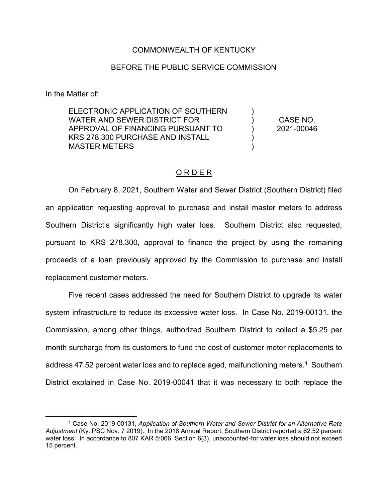## COMMONWEALTH OF KENTUCKY

## BEFORE THE PUBLIC SERVICE COMMISSION

In the Matter of:

l

ELECTRONIC APPLICATION OF SOUTHERN WATER AND SEWER DISTRICT FOR APPROVAL OF FINANCING PURSUANT TO KRS 278.300 PURCHASE AND INSTALL MASTER METERS

CASE NO. 2021-00046

) )  $\lambda$ ) )

## O R D E R

On February 8, 2021, Southern Water and Sewer District (Southern District) filed an application requesting approval to purchase and install master meters to address Southern District's significantly high water loss. Southern District also requested, pursuant to KRS 278.300, approval to finance the project by using the remaining proceeds of a loan previously approved by the Commission to purchase and install replacement customer meters.

Five recent cases addressed the need for Southern District to upgrade its water system infrastructure to reduce its excessive water loss. In Case No. 2019-00131, the Commission, among other things, authorized Southern District to collect a \$5.25 per month surcharge from its customers to fund the cost of customer meter replacements to address 47.52 percent water loss and to replace aged, malfunctioning meters.<sup>1</sup> Southern District explained in Case No. 2019-00041 that it was necessary to both replace the

<sup>1</sup> Case No. 2019-00131, *Application of Southern Water and Sewer District for an Alternative Rate Adjustment* (Ky. PSC Nov. 7 2019). In the 2018 Annual Report, Southern District reported a 62.52 percent water loss. In accordance to 807 KAR 5:066, Section 6(3), unaccounted-for water loss should not exceed 15 percent.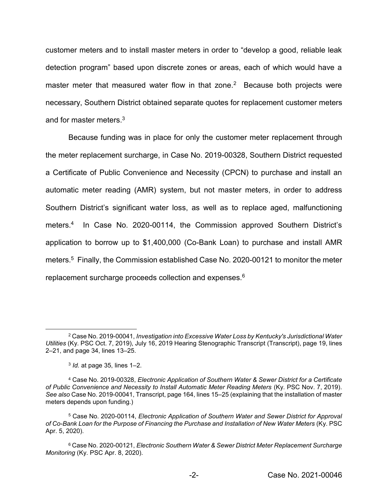customer meters and to install master meters in order to "develop a good, reliable leak detection program" based upon discrete zones or areas, each of which would have a master meter that measured water flow in that zone.<sup>2</sup> Because both projects were necessary, Southern District obtained separate quotes for replacement customer meters and for master meters.3

Because funding was in place for only the customer meter replacement through the meter replacement surcharge, in Case No. 2019-00328, Southern District requested a Certificate of Public Convenience and Necessity (CPCN) to purchase and install an automatic meter reading (AMR) system, but not master meters, in order to address Southern District's significant water loss, as well as to replace aged, malfunctioning meters.<sup>4</sup> In Case No. 2020-00114, the Commission approved Southern District's application to borrow up to \$1,400,000 (Co-Bank Loan) to purchase and install AMR meters.5 Finally, the Commission established Case No. 2020-00121 to monitor the meter replacement surcharge proceeds collection and expenses.<sup>6</sup>

l

<sup>2</sup> Case No. 2019-00041, *Investigation into Excessive Water Loss by Kentucky's Jurisdictional Water Utilities* (Ky. PSC Oct. 7, 2019), July 16, 2019 Hearing Stenographic Transcript (Transcript), page 19, lines 2–21, and page 34, lines 13–25.

<sup>3</sup> *Id.* at page 35, lines 1–2.

<sup>4</sup> Case No. 2019-00328, *Electronic Application of Southern Water & Sewer District for a Certificate of Public Convenience and Necessity to Install Automatic Meter Reading Meters* (Ky. PSC Nov. 7, 2019). *See also* Case No. 2019-00041, Transcript, page 164, lines 15–25 (explaining that the installation of master meters depends upon funding.)

<sup>5</sup> Case No. 2020-00114, *Electronic Application of Southern Water and Sewer District for Approval of Co-Bank Loan for the Purpose of Financing the Purchase and Installation of New Water Meters* (Ky. PSC Apr. 5, 2020).

<sup>6</sup> Case No. 2020-00121, *Electronic Southern Water & Sewer District Meter Replacement Surcharge Monitoring* (Ky. PSC Apr. 8, 2020).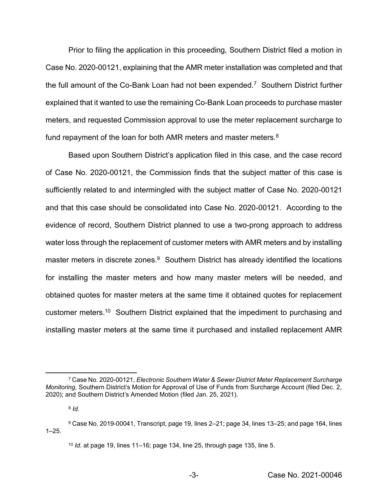Prior to filing the application in this proceeding, Southern District filed a motion in Case No. 2020-00121, explaining that the AMR meter installation was completed and that the full amount of the Co-Bank Loan had not been expended.<sup>7</sup> Southern District further explained that it wanted to use the remaining Co-Bank Loan proceeds to purchase master meters, and requested Commission approval to use the meter replacement surcharge to fund repayment of the loan for both AMR meters and master meters.<sup>8</sup>

Based upon Southern District's application filed in this case, and the case record of Case No. 2020-00121, the Commission finds that the subject matter of this case is sufficiently related to and intermingled with the subject matter of Case No. 2020-00121 and that this case should be consolidated into Case No. 2020-00121. According to the evidence of record, Southern District planned to use a two-prong approach to address water loss through the replacement of customer meters with AMR meters and by installing master meters in discrete zones.<sup>9</sup> Southern District has already identified the locations for installing the master meters and how many master meters will be needed, and obtained quotes for master meters at the same time it obtained quotes for replacement customer meters.10 Southern District explained that the impediment to purchasing and installing master meters at the same time it purchased and installed replacement AMR

l <sup>7</sup> Case No. 2020-00121, *Electronic Southern Water & Sewer District Meter Replacement Surcharge Monitoring,* Southern District's Motion for Approval of Use of Funds from Surcharge Account (filed Dec. 2, 2020); and Southern District's Amended Motion (filed Jan. 25, 2021).

<sup>8</sup> *Id.*

<sup>9</sup> Case No. 2019-00041, Transcript, page 19, lines 2–21; page 34, lines 13–25; and page 164, lines  $1 - 25$ .

<sup>10</sup> *Id.* at page 19, lines 11–16; page 134, line 25, through page 135, line 5.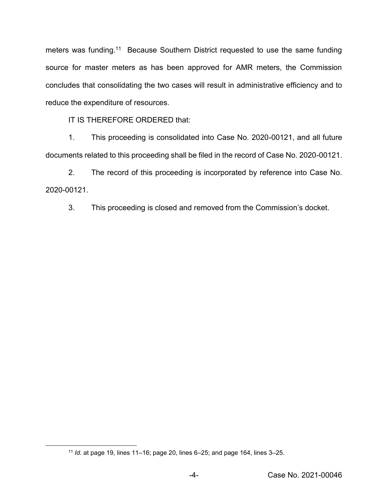meters was funding.<sup>11</sup> Because Southern District requested to use the same funding source for master meters as has been approved for AMR meters, the Commission concludes that consolidating the two cases will result in administrative efficiency and to reduce the expenditure of resources.

IT IS THEREFORE ORDERED that:

1. This proceeding is consolidated into Case No. 2020-00121, and all future documents related to this proceeding shall be filed in the record of Case No. 2020-00121.

2. The record of this proceeding is incorporated by reference into Case No. 2020-00121.

3. This proceeding is closed and removed from the Commission's docket.

 $\overline{\phantom{a}}$ 

<sup>11</sup> *Id.* at page 19, lines 11–16; page 20, lines 6–25; and page 164, lines 3–25.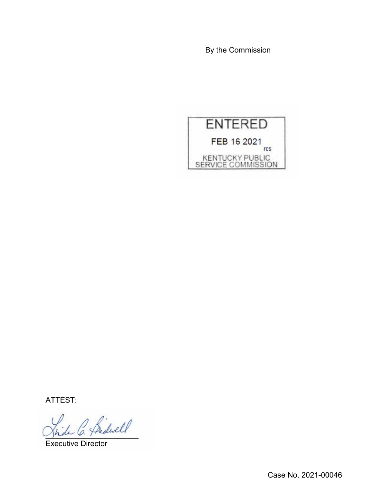By the Commission



ATTEST:

 $^{\prime}$  Sidwell

Executive Director

Case No. 2021-00046